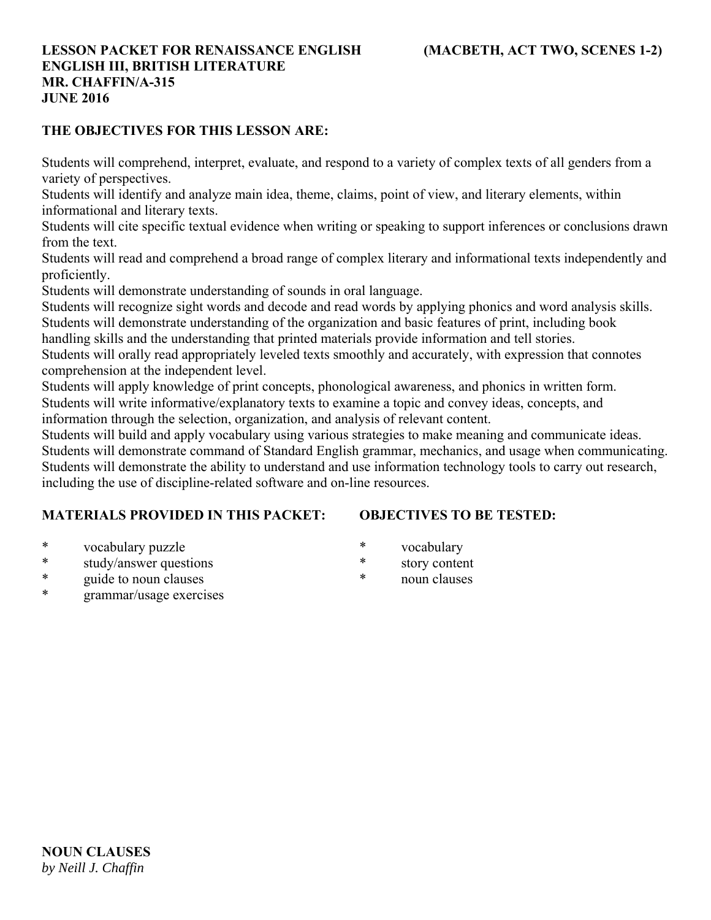### **THE OBJECTIVES FOR THIS LESSON ARE:**

Students will comprehend, interpret, evaluate, and respond to a variety of complex texts of all genders from a variety of perspectives.

Students will identify and analyze main idea, theme, claims, point of view, and literary elements, within informational and literary texts.

Students will cite specific textual evidence when writing or speaking to support inferences or conclusions drawn from the text.

Students will read and comprehend a broad range of complex literary and informational texts independently and proficiently.

Students will demonstrate understanding of sounds in oral language.

Students will recognize sight words and decode and read words by applying phonics and word analysis skills. Students will demonstrate understanding of the organization and basic features of print, including book

handling skills and the understanding that printed materials provide information and tell stories.

Students will orally read appropriately leveled texts smoothly and accurately, with expression that connotes comprehension at the independent level.

Students will apply knowledge of print concepts, phonological awareness, and phonics in written form. Students will write informative/explanatory texts to examine a topic and convey ideas, concepts, and information through the selection, organization, and analysis of relevant content.

Students will build and apply vocabulary using various strategies to make meaning and communicate ideas. Students will demonstrate command of Standard English grammar, mechanics, and usage when communicating. Students will demonstrate the ability to understand and use information technology tools to carry out research, including the use of discipline-related software and on-line resources.

### **MATERIALS PROVIDED IN THIS PACKET:**

# **OBJECTIVES TO BE TESTED:**

- \* vocabulary puzzle
- \* study/answer questions
- \* guide to noun clauses
- grammar/usage exercises
- \* vocabulary
- \* story content
- \* noun clauses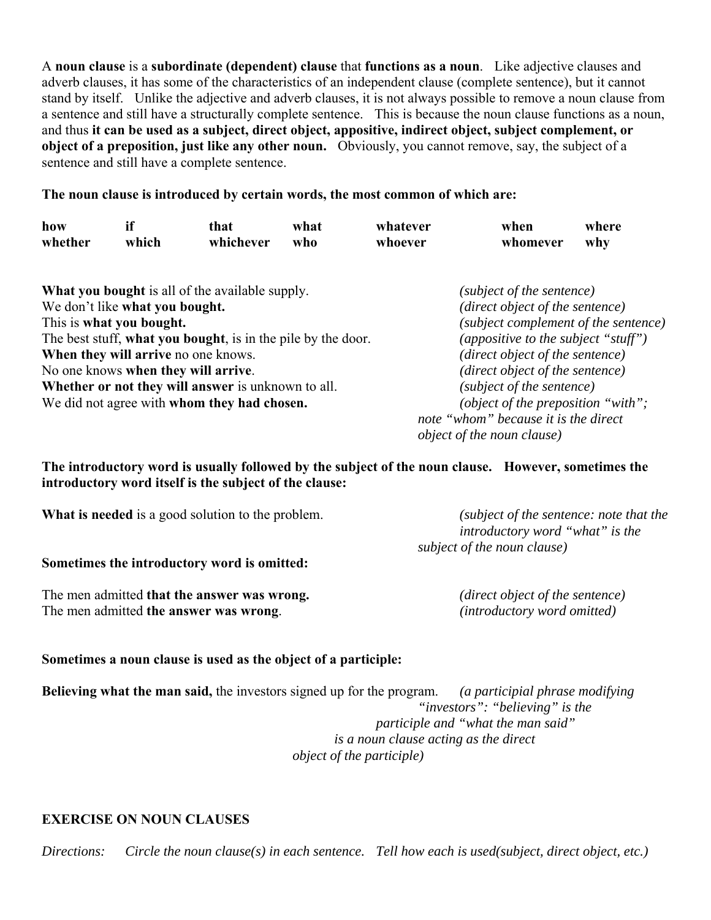A **noun clause** is a **subordinate (dependent) clause** that **functions as a noun**. Like adjective clauses and adverb clauses, it has some of the characteristics of an independent clause (complete sentence), but it cannot stand by itself. Unlike the adjective and adverb clauses, it is not always possible to remove a noun clause from a sentence and still have a structurally complete sentence. This is because the noun clause functions as a noun, and thus **it can be used as a subject, direct object, appositive, indirect object, subject complement, or object of a preposition, just like any other noun.** Obviously, you cannot remove, say, the subject of a sentence and still have a complete sentence.

#### **The noun clause is introduced by certain words, the most common of which are:**

| how<br>whether                              | if<br>which | that<br>whichever                                            | what<br>who | whatever<br>whoever                  | when<br>whomever                     | where<br>why |
|---------------------------------------------|-------------|--------------------------------------------------------------|-------------|--------------------------------------|--------------------------------------|--------------|
|                                             |             | <b>What you bought</b> is all of the available supply.       |             |                                      | (subject of the sentence)            |              |
| We don't like what you bought.              |             |                                                              |             | (direct object of the sentence)      |                                      |              |
| This is what you bought.                    |             |                                                              |             | (subject complement of the sentence) |                                      |              |
|                                             |             | The best stuff, what you bought, is in the pile by the door. |             |                                      | (appositive to the subject "stuff")  |              |
|                                             |             | When they will arrive no one knows.                          |             |                                      | (direct object of the sentence)      |              |
|                                             |             | No one knows when they will arrive.                          |             |                                      | (direct object of the sentence)      |              |
|                                             |             | Whether or not they will answer is unknown to all.           |             |                                      | (subject of the sentence)            |              |
| We did not agree with whom they had chosen. |             |                                                              |             | (object of the preposition "with";   |                                      |              |
|                                             |             |                                                              |             |                                      | note "whom" because it is the direct |              |
|                                             |             |                                                              |             | <i>object of the noun clause</i> )   |                                      |              |

**The introductory word is usually followed by the subject of the noun clause. However, sometimes the introductory word itself is the subject of the clause:**

| What is needed is a good solution to the problem. | (subject of the sentence: note that the<br>introductory word "what" is the |  |  |
|---------------------------------------------------|----------------------------------------------------------------------------|--|--|
| Sometimes the introductory word is omitted:       | subject of the noun clause)                                                |  |  |
| The men admitted that the answer was wrong.       | (direct object of the sentence)                                            |  |  |

The men admitted **the answer was wrong**. *(introductory word omitted)*

### **Sometimes a noun clause is used as the object of a participle:**

**Believing what the man said,** the investors signed up for the program. *(a participial phrase modifying "investors": "believing" is the participle and "what the man said" is a noun clause acting as the direct object of the participle)*

#### **EXERCISE ON NOUN CLAUSES**

*Directions: Circle the noun clause(s) in each sentence. Tell how each is used(subject, direct object, etc.)*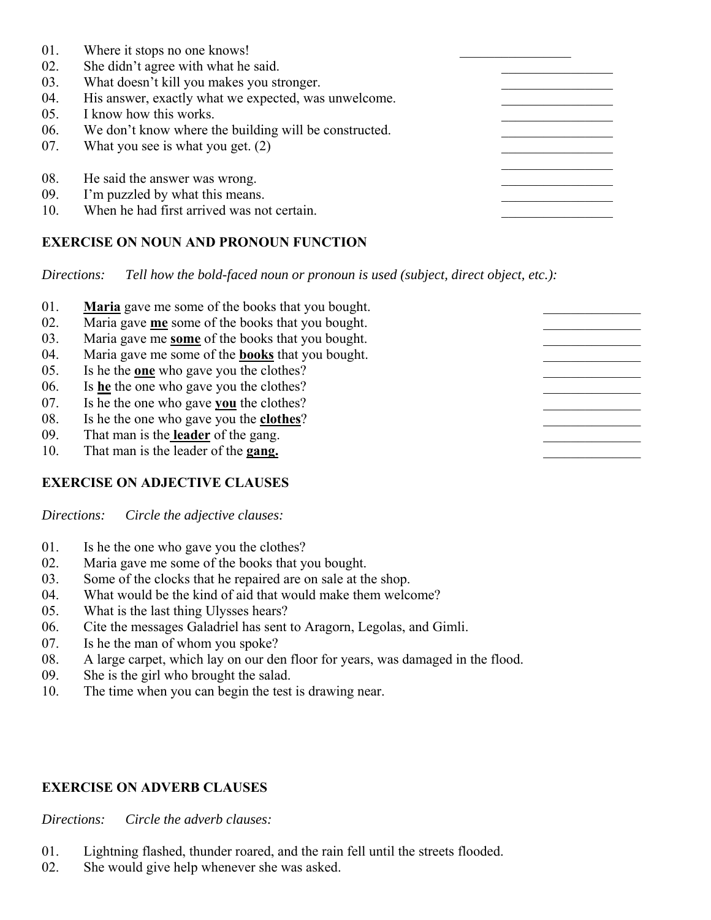| 01. | Where it stops no one knows!                          |  |
|-----|-------------------------------------------------------|--|
| 02. | She didn't agree with what he said.                   |  |
| 03. | What doesn't kill you makes you stronger.             |  |
| 04. | His answer, exactly what we expected, was unwelcome.  |  |
| 05. | I know how this works.                                |  |
| 06. | We don't know where the building will be constructed. |  |
| 07. | What you see is what you get. $(2)$                   |  |
| 08. | He said the answer was wrong.                         |  |
| 09. | I'm puzzled by what this means.                       |  |
| 10. | When he had first arrived was not certain.            |  |

# **EXERCISE ON NOUN AND PRONOUN FUNCTION**

*Directions: Tell how the bold-faced noun or pronoun is used (subject, direct object, etc.):*

| 01.<br>02. | <b>Maria</b> gave me some of the books that you bought.<br>Maria gave me some of the books that you bought. |  |
|------------|-------------------------------------------------------------------------------------------------------------|--|
| 03.        | Maria gave me some of the books that you bought.                                                            |  |
| 04.<br>05. | Maria gave me some of the <b>books</b> that you bought.                                                     |  |
| 06.        | Is he the <u>one</u> who gave you the clothes?<br>Is he the one who gave you the clothes?                   |  |
| 07.        | Is he the one who gave you the clothes?                                                                     |  |
| 08.        | Is he the one who gave you the <b>clothes</b> ?                                                             |  |
| 09.        | That man is the <b>leader</b> of the gang.                                                                  |  |
| 10.        | That man is the leader of the gang.                                                                         |  |

### **EXERCISE ON ADJECTIVE CLAUSES**

*Directions: Circle the adjective clauses:*

- 01. Is he the one who gave you the clothes?
- 02. Maria gave me some of the books that you bought.
- 03. Some of the clocks that he repaired are on sale at the shop.
- 04. What would be the kind of aid that would make them welcome?
- 05. What is the last thing Ulysses hears?
- 06. Cite the messages Galadriel has sent to Aragorn, Legolas, and Gimli.
- 07. Is he the man of whom you spoke?
- 08. A large carpet, which lay on our den floor for years, was damaged in the flood.
- 09. She is the girl who brought the salad.
- 10. The time when you can begin the test is drawing near.

#### **EXERCISE ON ADVERB CLAUSES**

*Directions: Circle the adverb clauses:*

- 01. Lightning flashed, thunder roared, and the rain fell until the streets flooded.
- 02. She would give help whenever she was asked.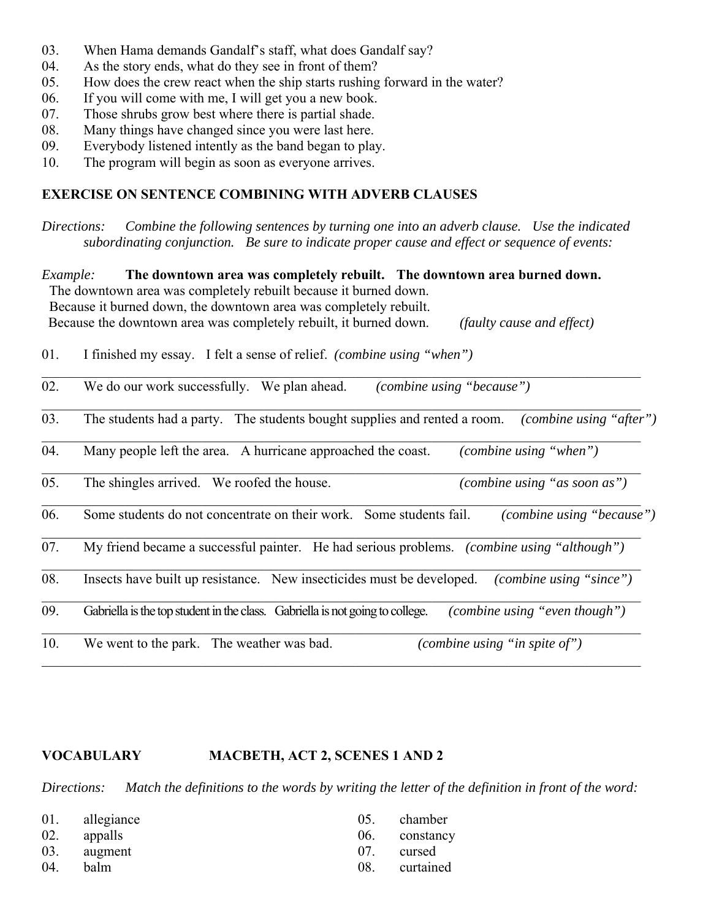- 03. When Hama demands Gandalf's staff, what does Gandalf say?
- 04. As the story ends, what do they see in front of them?
- 05. How does the crew react when the ship starts rushing forward in the water?
- 06. If you will come with me, I will get you a new book.
- 07. Those shrubs grow best where there is partial shade.
- 08. Many things have changed since you were last here.
- 09. Everybody listened intently as the band began to play.
- 10. The program will begin as soon as everyone arrives.

# **EXERCISE ON SENTENCE COMBINING WITH ADVERB CLAUSES**

*Directions: Combine the following sentences by turning one into an adverb clause. Use the indicated subordinating conjunction. Be sure to indicate proper cause and effect or sequence of events:*

| <i>Example:</i> | The downtown area was completely rebuilt. The downtown area burned down.<br>The downtown area was completely rebuilt because it burned down.<br>Because it burned down, the downtown area was completely rebuilt.<br>Because the downtown area was completely rebuilt, it burned down.<br>(faulty cause and effect) |
|-----------------|---------------------------------------------------------------------------------------------------------------------------------------------------------------------------------------------------------------------------------------------------------------------------------------------------------------------|
| 01.             | I finished my essay. I felt a sense of relief. <i>(combine using "when")</i>                                                                                                                                                                                                                                        |
| 02.             | We do our work successfully. We plan ahead.<br>(combine using "because")                                                                                                                                                                                                                                            |
| 03.             | The students had a party. The students bought supplies and rented a room.<br>(combine using "after")                                                                                                                                                                                                                |
| 04.             | Many people left the area. A hurricane approached the coast.<br>(combine using "when")                                                                                                                                                                                                                              |
| 05.             | (combine using "as soon as")<br>The shingles arrived. We roofed the house.                                                                                                                                                                                                                                          |
| 06.             | Some students do not concentrate on their work. Some students fail.<br>(combine using "because")                                                                                                                                                                                                                    |
| 07.             | My friend became a successful painter. He had serious problems. <i>(combine using "although")</i>                                                                                                                                                                                                                   |
| 08.             | Insects have built up resistance. New insecticides must be developed.<br>(combine using "since")                                                                                                                                                                                                                    |
| 09.             | Gabriella is the top student in the class. Gabriella is not going to college.<br>(combine using "even though")                                                                                                                                                                                                      |
| 10.             | We went to the park. The weather was bad.<br>(combine using "in spite of")                                                                                                                                                                                                                                          |

# **VOCABULARY MACBETH, ACT 2, SCENES 1 AND 2**

*Directions: Match the definitions to the words by writing the letter of the definition in front of the word:*

|     | 01. allegiance<br>02. appalls |     | 05. chamber<br>06. constancy |
|-----|-------------------------------|-----|------------------------------|
| 04. | 03. augment<br>balm           | 07. | cursed<br>08. curtained      |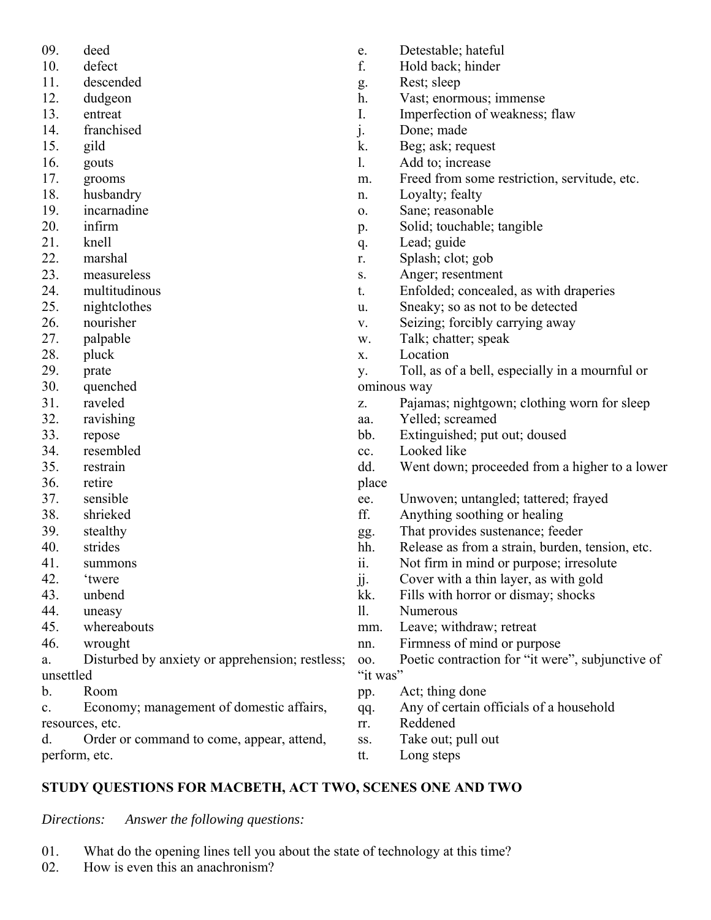- 09. deed
- 10. defect
- 11. descended
- 12. dudgeon
- 13. entreat
- 14. franchised
- 15. gild
- 16. gouts
- 17. grooms
- 18. husbandry
- 19. incarnadine
- 20. infirm
- 21. knell
- 22. marshal
- 23. measureless
- 24. multitudinous
- 25. nightclothes
- 26. nourisher
- 27. palpable
- 28. pluck
- 29. prate
- 30. quenched
- 31. raveled
- 32. ravishing
- 33. repose
- 34. resembled
- 35. restrain
- 36. retire
- 37. sensible
- 38. shrieked
- 39. stealthy
- 40. strides
- 41. summons
- 42. 'twere
- 43. unbend
- 44. uneasy
- 45. whereabouts
- 46. wrought
- a. Disturbed by anxiety or apprehension; restless; unsettled
- b. Room

c. Economy; management of domestic affairs, resources, etc.

d. Order or command to come, appear, attend, perform, etc.

- e. Detestable; hateful
- f. Hold back; hinder
- g. Rest; sleep
- h. Vast; enormous; immense
- I. Imperfection of weakness; flaw
- j. Done; made
- k. Beg; ask; request
- l. Add to; increase
- m. Freed from some restriction, servitude, etc.
- n. Loyalty; fealty
- o. Sane; reasonable
- p. Solid; touchable; tangible
- q. Lead; guide
- r. Splash; clot; gob
- s. Anger; resentment
- t. Enfolded; concealed, as with draperies
- u. Sneaky; so as not to be detected
- v. Seizing; forcibly carrying away
- w. Talk; chatter; speak
- x. Location
- y. Toll, as of a bell, especially in a mournful or ominous way
- z. Pajamas; nightgown; clothing worn for sleep
- aa. Yelled; screamed
- bb. Extinguished; put out; doused
- cc. Looked like
- dd. Went down; proceeded from a higher to a lower place
- ee. Unwoven; untangled; tattered; frayed
- ff. Anything soothing or healing
- gg. That provides sustenance; feeder
- hh. Release as from a strain, burden, tension, etc.
- ii. Not firm in mind or purpose; irresolute
- jj. Cover with a thin layer, as with gold
- kk. Fills with horror or dismay; shocks
- ll. Numerous
- mm. Leave; withdraw; retreat
- nn. Firmness of mind or purpose
- oo. Poetic contraction for "it were", subjunctive of "it was"
- pp. Act; thing done
- qq. Any of certain officials of a household
- rr. Reddened
- ss. Take out; pull out
- tt. Long steps

# **STUDY QUESTIONS FOR MACBETH, ACT TWO, SCENES ONE AND TWO**

*Directions: Answer the following questions:*

- 01. What do the opening lines tell you about the state of technology at this time?
- 02. How is even this an anachronism?